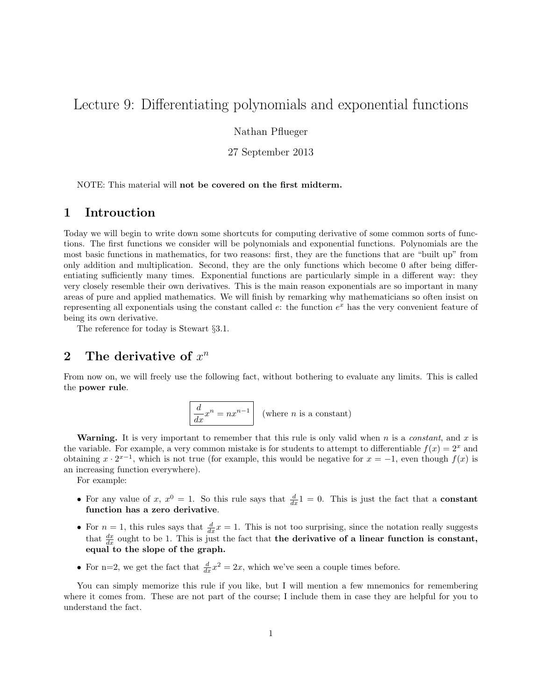# Lecture 9: Differentiating polynomials and exponential functions

Nathan Pflueger

27 September 2013

NOTE: This material will not be covered on the first midterm.

### 1 Introuction

Today we will begin to write down some shortcuts for computing derivative of some common sorts of functions. The first functions we consider will be polynomials and exponential functions. Polynomials are the most basic functions in mathematics, for two reasons: first, they are the functions that are "built up" from only addition and multiplication. Second, they are the only functions which become 0 after being differentiating sufficiently many times. Exponential functions are particularly simple in a different way: they very closely resemble their own derivatives. This is the main reason exponentials are so important in many areas of pure and applied mathematics. We will finish by remarking why mathematicians so often insist on representing all exponentials using the constant called  $e$ : the function  $e^x$  has the very convenient feature of being its own derivative.

The reference for today is Stewart §3.1.

# 2 The derivative of  $x^n$

From now on, we will freely use the following fact, without bothering to evaluate any limits. This is called the power rule.

$$
\left| \frac{d}{dx} x^n = nx^{n-1} \right| \text{ (where } n \text{ is a constant)}
$$

**Warning.** It is very important to remember that this rule is only valid when  $n$  is a *constant*, and  $x$  is the variable. For example, a very common mistake is for students to attempt to differentiable  $f(x) = 2^x$  and obtaining  $x \cdot 2^{x-1}$ , which is not true (for example, this would be negative for  $x = -1$ , even though  $f(x)$  is an increasing function everywhere).

For example:

- For any value of x,  $x^0 = 1$ . So this rule says that  $\frac{d}{dx} 1 = 0$ . This is just the fact that a constant function has a zero derivative.
- For  $n = 1$ , this rules says that  $\frac{d}{dx}x = 1$ . This is not too surprising, since the notation really suggests that  $\frac{dx}{dx}$  ought to be 1. This is just the fact that the derivative of a linear function is constant, equal to the slope of the graph.
- For n=2, we get the fact that  $\frac{d}{dx}x^2 = 2x$ , which we've seen a couple times before.

You can simply memorize this rule if you like, but I will mention a few mnemonics for remembering where it comes from. These are not part of the course; I include them in case they are helpful for you to understand the fact.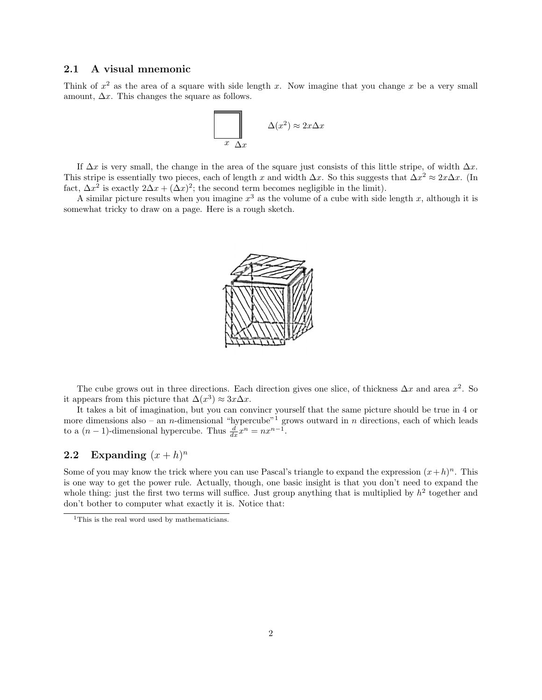#### 2.1 A visual mnemonic

Think of  $x^2$  as the area of a square with side length x. Now imagine that you change x be a very small amount,  $\Delta x$ . This changes the square as follows.



If  $\Delta x$  is very small, the change in the area of the square just consists of this little stripe, of width  $\Delta x$ . This stripe is essentially two pieces, each of length x and width  $\Delta x$ . So this suggests that  $\Delta x^2 \approx 2x\Delta x$ . (In fact,  $\Delta x^2$  is exactly  $2\Delta x + (\Delta x)^2$ ; the second term becomes negligible in the limit).

A similar picture results when you imagine  $x^3$  as the volume of a cube with side length x, although it is somewhat tricky to draw on a page. Here is a rough sketch.



The cube grows out in three directions. Each direction gives one slice, of thickness  $\Delta x$  and area  $x^2$ . So it appears from this picture that  $\Delta(x^3) \approx 3x \Delta x$ .

It takes a bit of imagination, but you can convincr yourself that the same picture should be true in 4 or more dimensions also – an *n*-dimensional "hypercube"<sup>1</sup> grows outward in *n* directions, each of which leads to a  $(n-1)$ -dimensional hypercube. Thus  $\frac{d}{dx}x^n = nx^{n-1}$ .

### 2.2 Expanding  $(x+h)^n$

Some of you may know the trick where you can use Pascal's triangle to expand the expression  $(x+h)^n$ . This is one way to get the power rule. Actually, though, one basic insight is that you don't need to expand the whole thing: just the first two terms will suffice. Just group anything that is multiplied by  $h^2$  together and don't bother to computer what exactly it is. Notice that:

<sup>&</sup>lt;sup>1</sup>This is the real word used by mathematicians.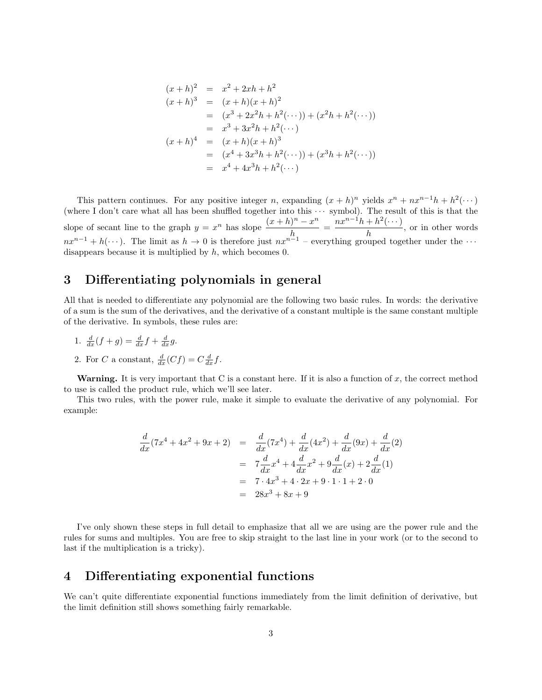$$
(x+h)^2 = x^2 + 2xh + h^2
$$
  
\n
$$
(x+h)^3 = (x+h)(x+h)^2
$$
  
\n
$$
= (x^3 + 2x^2h + h^2(\cdots)) + (x^2h + h^2(\cdots))
$$
  
\n
$$
= x^3 + 3x^2h + h^2(\cdots)
$$
  
\n
$$
(x+h)^4 = (x+h)(x+h)^3
$$
  
\n
$$
= (x^4 + 3x^3h + h^2(\cdots)) + (x^3h + h^2(\cdots))
$$
  
\n
$$
= x^4 + 4x^3h + h^2(\cdots)
$$

This pattern continues. For any positive integer n, expanding  $(x+h)^n$  yields  $x^n + nx^{n-1}h + h^2(\cdots)$ (where I don't care what all has been shuffled together into this  $\cdots$  symbol). The result of this is that the slope of secant line to the graph  $y = x^n$  has slope  $\frac{(x+h)^n - x^n}{h}$  $\frac{h^{n}-x^{n}}{h} = \frac{nx^{n-1}h + h^{2}(\cdots)}{h}$  $\frac{h}{h}$ , or in other words  $nx^{n-1} + h(\cdots)$ . The limit as  $h \to 0$  is therefore just  $nx^{n-1}$  – everything grouped together under the  $\cdots$ disappears because it is multiplied by  $h$ , which becomes 0.

## 3 Differentiating polynomials in general

All that is needed to differentiate any polynomial are the following two basic rules. In words: the derivative of a sum is the sum of the derivatives, and the derivative of a constant multiple is the same constant multiple of the derivative. In symbols, these rules are:

- 1.  $\frac{d}{dx}(f+g) = \frac{d}{dx}f + \frac{d}{dx}g$ .
- 2. For C a constant,  $\frac{d}{dx}(Cf) = C\frac{d}{dx}f$ .

Warning. It is very important that C is a constant here. If it is also a function of  $x$ , the correct method to use is called the product rule, which we'll see later.

This two rules, with the power rule, make it simple to evaluate the derivative of any polynomial. For example:

$$
\frac{d}{dx}(7x^4 + 4x^2 + 9x + 2) = \frac{d}{dx}(7x^4) + \frac{d}{dx}(4x^2) + \frac{d}{dx}(9x) + \frac{d}{dx}(2)
$$
\n
$$
= 7\frac{d}{dx}x^4 + 4\frac{d}{dx}x^2 + 9\frac{d}{dx}(x) + 2\frac{d}{dx}(1)
$$
\n
$$
= 7 \cdot 4x^3 + 4 \cdot 2x + 9 \cdot 1 \cdot 1 + 2 \cdot 0
$$
\n
$$
= 28x^3 + 8x + 9
$$

I've only shown these steps in full detail to emphasize that all we are using are the power rule and the rules for sums and multiples. You are free to skip straight to the last line in your work (or to the second to last if the multiplication is a tricky).

## 4 Differentiating exponential functions

We can't quite differentiate exponential functions immediately from the limit definition of derivative, but the limit definition still shows something fairly remarkable.